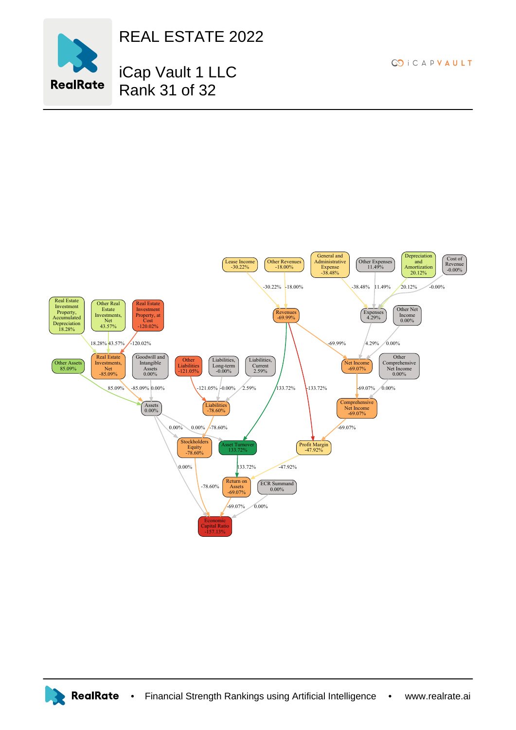

REAL ESTATE 2022

## iCap Vault 1 LLC Rank 31 of 32

**CO** i C A P V A U L T